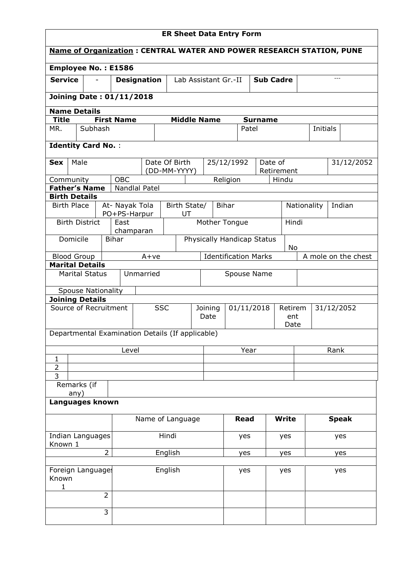| <b>ER Sheet Data Entry Form</b>                                             |                                      |                                |                    |                  |                               |     |                                     |              |                             |                |              |                     |            |              |        |
|-----------------------------------------------------------------------------|--------------------------------------|--------------------------------|--------------------|------------------|-------------------------------|-----|-------------------------------------|--------------|-----------------------------|----------------|--------------|---------------------|------------|--------------|--------|
| <b>Name of Organization: CENTRAL WATER AND POWER RESEARCH STATION, PUNE</b> |                                      |                                |                    |                  |                               |     |                                     |              |                             |                |              |                     |            |              |        |
| Employee No.: E1586                                                         |                                      |                                |                    |                  |                               |     |                                     |              |                             |                |              |                     |            |              |        |
| <b>Service</b>                                                              |                                      |                                | <b>Designation</b> |                  | Lab Assistant Gr.-II          |     |                                     |              | <b>Sub Cadre</b>            |                |              |                     |            | $---$        |        |
| <b>Joining Date: 01/11/2018</b>                                             |                                      |                                |                    |                  |                               |     |                                     |              |                             |                |              |                     |            |              |        |
| <b>Name Details</b>                                                         |                                      |                                |                    |                  |                               |     |                                     |              |                             |                |              |                     |            |              |        |
| <b>Title</b>                                                                |                                      | <b>First Name</b>              |                    |                  |                               |     | <b>Middle Name</b>                  |              |                             | <b>Surname</b> |              |                     |            |              |        |
| MR.                                                                         | Subhash                              |                                |                    |                  |                               |     |                                     |              | Patel                       |                |              |                     | Initials   |              |        |
| <b>Identity Card No.:</b>                                                   |                                      |                                |                    |                  |                               |     |                                     |              |                             |                |              |                     |            |              |        |
| Male<br><b>Sex</b>                                                          |                                      |                                |                    | Date Of Birth    |                               |     | Date of<br>25/12/1992<br>Retirement |              |                             |                |              |                     | 31/12/2052 |              |        |
| Community                                                                   |                                      | OBC                            |                    | (DD-MM-YYYY)     |                               |     |                                     | Religion     |                             |                | Hindu        |                     |            |              |        |
| <b>Father's Name</b>                                                        |                                      |                                | Nandlal Patel      |                  |                               |     |                                     |              |                             |                |              |                     |            |              |        |
| <b>Birth Details</b>                                                        |                                      |                                |                    |                  |                               |     |                                     |              |                             |                |              |                     |            |              |        |
| <b>Birth Place</b>                                                          |                                      | At- Nayak Tola<br>PO+PS-Harpur |                    |                  | Birth State/<br>UT            |     |                                     | <b>Bihar</b> |                             |                |              | Nationality         |            |              | Indian |
| <b>Birth District</b>                                                       |                                      | East                           | champaran          |                  |                               |     | Hindi<br>Mother Tongue              |              |                             |                |              |                     |            |              |        |
| Physically Handicap Status<br>Domicile<br><b>Bihar</b><br>No                |                                      |                                |                    |                  |                               |     |                                     |              |                             |                |              |                     |            |              |        |
| <b>Blood Group</b><br>$A+ve$                                                |                                      |                                |                    |                  |                               |     |                                     |              | <b>Identification Marks</b> |                |              | A mole on the chest |            |              |        |
| <b>Marital Details</b>                                                      |                                      |                                |                    |                  |                               |     |                                     |              |                             |                |              |                     |            |              |        |
| Unmarried<br><b>Marital Status</b>                                          |                                      |                                |                    |                  | Spouse Name                   |     |                                     |              |                             |                |              |                     |            |              |        |
| <b>Spouse Nationality</b>                                                   |                                      |                                |                    |                  |                               |     |                                     |              |                             |                |              |                     |            |              |        |
| <b>Joining Details</b>                                                      |                                      |                                |                    |                  |                               |     |                                     |              |                             |                |              |                     |            |              |        |
| Source of Recruitment                                                       |                                      |                                |                    | <b>SSC</b>       | 01/11/2018<br>Joining<br>Date |     |                                     |              | Retirem<br>ent<br>Date      |                |              |                     |            | 31/12/2052   |        |
| Departmental Examination Details (If applicable)                            |                                      |                                |                    |                  |                               |     |                                     |              |                             |                |              |                     |            |              |        |
|                                                                             |                                      |                                | Level              |                  |                               |     |                                     | Year         |                             |                |              |                     | Rank       |              |        |
| $\mathbf{1}$                                                                |                                      |                                |                    |                  |                               |     |                                     |              |                             |                |              |                     |            |              |        |
| 2                                                                           |                                      |                                |                    |                  |                               |     |                                     |              |                             |                |              |                     |            |              |        |
| 3<br>Remarks (if                                                            |                                      |                                |                    |                  |                               |     |                                     |              |                             |                |              |                     |            |              |        |
| any)<br>Languages known                                                     |                                      |                                |                    |                  |                               |     |                                     |              |                             |                |              |                     |            |              |        |
|                                                                             |                                      |                                |                    | Name of Language |                               |     |                                     |              | <b>Read</b>                 |                | <b>Write</b> |                     |            | <b>Speak</b> |        |
| Indian Languages                                                            |                                      |                                | Hindi              |                  |                               |     |                                     | yes          |                             | yes            |              | yes                 |            |              |        |
|                                                                             | Known 1<br>$\overline{2}$<br>English |                                |                    |                  |                               | yes |                                     | yes          |                             |                | yes          |                     |            |              |        |
|                                                                             |                                      |                                |                    |                  |                               |     |                                     |              |                             |                |              |                     |            |              |        |
| Foreign Language:<br>Known<br>1                                             |                                      |                                | English            |                  |                               |     |                                     | yes          |                             | yes            |              |                     | yes        |              |        |
|                                                                             |                                      | $\overline{2}$                 |                    |                  |                               |     |                                     |              |                             |                |              |                     |            |              |        |
|                                                                             |                                      | 3                              |                    |                  |                               |     |                                     |              |                             |                |              |                     |            |              |        |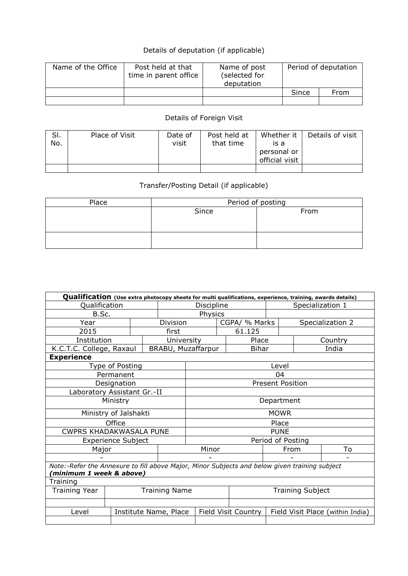## Details of deputation (if applicable)

| Name of the Office | Post held at that<br>time in parent office | Name of post<br>(selected for<br>deputation | Period of deputation |      |  |
|--------------------|--------------------------------------------|---------------------------------------------|----------------------|------|--|
|                    |                                            |                                             | Since                | From |  |
|                    |                                            |                                             |                      |      |  |

## Details of Foreign Visit

| SI.<br>No. | Place of Visit | Date of<br>visit | Post held at<br>that time | Whether it<br>is a<br>personal or<br>official visit | Details of visit |
|------------|----------------|------------------|---------------------------|-----------------------------------------------------|------------------|
|            |                |                  |                           |                                                     |                  |

## Transfer/Posting Detail (if applicable)

| Place | Period of posting |      |  |  |  |  |  |  |
|-------|-------------------|------|--|--|--|--|--|--|
|       | Since             | From |  |  |  |  |  |  |
|       |                   |      |  |  |  |  |  |  |
|       |                   |      |  |  |  |  |  |  |
|       |                   |      |  |  |  |  |  |  |
|       |                   |      |  |  |  |  |  |  |

| Qualification (Use extra photocopy sheets for multi qualifications, experience, training, awards details)                |                           |  |                       |                         |                                      |                                                         |                         |                  |         |  |  |  |
|--------------------------------------------------------------------------------------------------------------------------|---------------------------|--|-----------------------|-------------------------|--------------------------------------|---------------------------------------------------------|-------------------------|------------------|---------|--|--|--|
| Qualification                                                                                                            |                           |  |                       | Discipline              |                                      |                                                         |                         | Specialization 1 |         |  |  |  |
| B.Sc.                                                                                                                    |                           |  |                       | Physics                 |                                      |                                                         |                         |                  |         |  |  |  |
| Year                                                                                                                     | Division                  |  |                       |                         | CGPA/ % Marks                        |                                                         |                         | Specialization 2 |         |  |  |  |
| 2015                                                                                                                     |                           |  | first                 | 61.125                  |                                      |                                                         |                         |                  |         |  |  |  |
| Institution                                                                                                              |                           |  | University            | Place                   |                                      |                                                         |                         |                  | Country |  |  |  |
| K.C.T.C. College, Raxaul                                                                                                 |                           |  |                       |                         | BRABU, Muzaffarpur<br>India<br>Bihar |                                                         |                         |                  |         |  |  |  |
| <b>Experience</b>                                                                                                        |                           |  |                       |                         |                                      |                                                         |                         |                  |         |  |  |  |
|                                                                                                                          | Type of Posting           |  |                       | Level                   |                                      |                                                         |                         |                  |         |  |  |  |
|                                                                                                                          | Permanent                 |  |                       |                         |                                      |                                                         | 04                      |                  |         |  |  |  |
|                                                                                                                          | Designation               |  |                       |                         |                                      |                                                         | <b>Present Position</b> |                  |         |  |  |  |
| Laboratory Assistant Gr.-II                                                                                              |                           |  |                       |                         |                                      |                                                         |                         |                  |         |  |  |  |
|                                                                                                                          | Ministry                  |  |                       | Department              |                                      |                                                         |                         |                  |         |  |  |  |
|                                                                                                                          | Ministry of Jalshakti     |  |                       | <b>MOWR</b>             |                                      |                                                         |                         |                  |         |  |  |  |
|                                                                                                                          | Office                    |  |                       | Place                   |                                      |                                                         |                         |                  |         |  |  |  |
| <b>CWPRS KHADAKWASALA PUNE</b>                                                                                           |                           |  |                       | PUNE                    |                                      |                                                         |                         |                  |         |  |  |  |
|                                                                                                                          | <b>Experience Subject</b> |  |                       | Period of Posting       |                                      |                                                         |                         |                  |         |  |  |  |
| Major                                                                                                                    |                           |  |                       | Minor                   |                                      |                                                         | From                    |                  | To      |  |  |  |
|                                                                                                                          |                           |  |                       |                         |                                      |                                                         |                         |                  |         |  |  |  |
| Note:-Refer the Annexure to fill above Major, Minor Subjects and below given training subject<br>minimum 1 week & above) |                           |  |                       |                         |                                      |                                                         |                         |                  |         |  |  |  |
| Training                                                                                                                 |                           |  |                       |                         |                                      |                                                         |                         |                  |         |  |  |  |
| Training Year<br><b>Training Name</b>                                                                                    |                           |  |                       | <b>Training Subject</b> |                                      |                                                         |                         |                  |         |  |  |  |
|                                                                                                                          |                           |  |                       |                         |                                      |                                                         |                         |                  |         |  |  |  |
| Level                                                                                                                    |                           |  | Institute Name, Place |                         |                                      | Field Visit Country<br>Field Visit Place (within India) |                         |                  |         |  |  |  |
|                                                                                                                          |                           |  |                       |                         |                                      |                                                         |                         |                  |         |  |  |  |